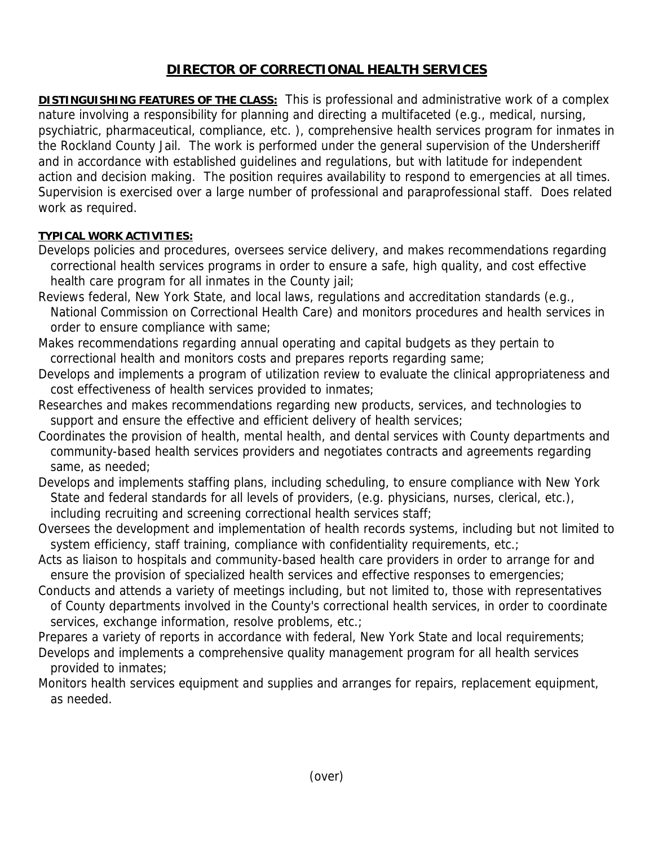## **DIRECTOR OF CORRECTIONAL HEALTH SERVICES**

**DISTINGUISHING FEATURES OF THE CLASS:** This is professional and administrative work of a complex nature involving a responsibility for planning and directing a multifaceted (e.g., medical, nursing, psychiatric, pharmaceutical, compliance, etc. ), comprehensive health services program for inmates in the Rockland County Jail. The work is performed under the general supervision of the Undersheriff and in accordance with established guidelines and regulations, but with latitude for independent action and decision making. The position requires availability to respond to emergencies at all times. Supervision is exercised over a large number of professional and paraprofessional staff. Does related work as required.

## **TYPICAL WORK ACTIVITIES:**

- Develops policies and procedures, oversees service delivery, and makes recommendations regarding correctional health services programs in order to ensure a safe, high quality, and cost effective health care program for all inmates in the County jail;
- Reviews federal, New York State, and local laws, regulations and accreditation standards (e.g., National Commission on Correctional Health Care) and monitors procedures and health services in order to ensure compliance with same;
- Makes recommendations regarding annual operating and capital budgets as they pertain to correctional health and monitors costs and prepares reports regarding same;
- Develops and implements a program of utilization review to evaluate the clinical appropriateness and cost effectiveness of health services provided to inmates;
- Researches and makes recommendations regarding new products, services, and technologies to support and ensure the effective and efficient delivery of health services;
- Coordinates the provision of health, mental health, and dental services with County departments and community-based health services providers and negotiates contracts and agreements regarding same, as needed;
- Develops and implements staffing plans, including scheduling, to ensure compliance with New York State and federal standards for all levels of providers, (e.g. physicians, nurses, clerical, etc.), including recruiting and screening correctional health services staff;
- Oversees the development and implementation of health records systems, including but not limited to system efficiency, staff training, compliance with confidentiality requirements, etc.;
- Acts as liaison to hospitals and community-based health care providers in order to arrange for and ensure the provision of specialized health services and effective responses to emergencies;
- Conducts and attends a variety of meetings including, but not limited to, those with representatives of County departments involved in the County's correctional health services, in order to coordinate services, exchange information, resolve problems, etc.;
- Prepares a variety of reports in accordance with federal, New York State and local requirements; Develops and implements a comprehensive quality management program for all health services provided to inmates;
- Monitors health services equipment and supplies and arranges for repairs, replacement equipment, as needed.